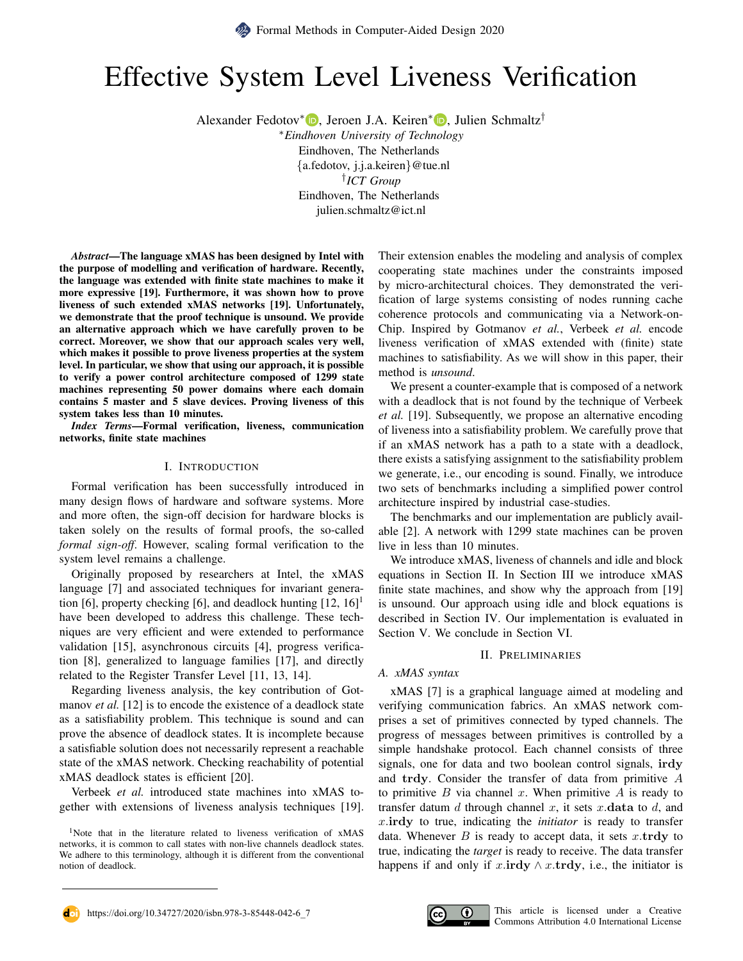# Effective System Level Liveness Verification

Alexander Fedotov<sup>\*</sup> D[,](https://orcid.org/0000-0002-6199-9052) Jeroen J.A. Keiren<sup>\*</sup> D, Julien Schmaltz<sup>†</sup>

<sup>∗</sup>*Eindhoven University of Technology* Eindhoven, The Netherlands {a.fedotov, j.j.a.keiren}@tue.nl † *ICT Group* Eindhoven, The Netherlands <julien.schmaltz@ict.nl>

*Abstract*—The language xMAS has been designed by Intel with the purpose of modelling and verification of hardware. Recently, the language was extended with finite state machines to make it more expressive [\[19\]](#page-8-0). Furthermore, it was shown how to prove liveness of such extended xMAS networks [\[19\]](#page-8-0). Unfortunately, we demonstrate that the proof technique is unsound. We provide an alternative approach which we have carefully proven to be correct. Moreover, we show that our approach scales very well, which makes it possible to prove liveness properties at the system level. In particular, we show that using our approach, it is possible to verify a power control architecture composed of 1299 state machines representing 50 power domains where each domain contains 5 master and 5 slave devices. Proving liveness of this system takes less than 10 minutes.

*Index Terms*—Formal verification, liveness, communication networks, finite state machines

#### I. INTRODUCTION

Formal verification has been successfully introduced in many design flows of hardware and software systems. More and more often, the sign-off decision for hardware blocks is taken solely on the results of formal proofs, the so-called *formal sign-off*. However, scaling formal verification to the system level remains a challenge.

Originally proposed by researchers at Intel, the xMAS language [\[7\]](#page-8-1) and associated techniques for invariant genera-tion [\[6\]](#page-8-2), property checking [6], and deadlock hunting  $[12, 16]$  $[12, 16]$ <sup>[1](#page-0-0)</sup> have been developed to address this challenge. These techniques are very efficient and were extended to performance validation [\[15\]](#page-8-5), asynchronous circuits [\[4\]](#page-8-6), progress verification [\[8\]](#page-8-7), generalized to language families [\[17\]](#page-8-8), and directly related to the Register Transfer Level [\[11,](#page-8-9) [13,](#page-8-10) [14\]](#page-8-11).

Regarding liveness analysis, the key contribution of Gotmanov *et al.* [\[12\]](#page-8-3) is to encode the existence of a deadlock state as a satisfiability problem. This technique is sound and can prove the absence of deadlock states. It is incomplete because a satisfiable solution does not necessarily represent a reachable state of the xMAS network. Checking reachability of potential xMAS deadlock states is efficient [\[20\]](#page-8-12).

Verbeek *et al.* introduced state machines into xMAS together with extensions of liveness analysis techniques [\[19\]](#page-8-0).

<span id="page-0-0"></span><sup>1</sup>Note that in the literature related to liveness verification of xMAS networks, it is common to call states with non-live channels deadlock states. We adhere to this terminology, although it is different from the conventional notion of deadlock.

Their extension enables the modeling and analysis of complex cooperating state machines under the constraints imposed by micro-architectural choices. They demonstrated the verification of large systems consisting of nodes running cache coherence protocols and communicating via a Network-on-Chip. Inspired by Gotmanov *et al.*, Verbeek *et al.* encode liveness verification of xMAS extended with (finite) state machines to satisfiability. As we will show in this paper, their method is *unsound*.

We present a counter-example that is composed of a network with a deadlock that is not found by the technique of Verbeek *et al.* [\[19\]](#page-8-0). Subsequently, we propose an alternative encoding of liveness into a satisfiability problem. We carefully prove that if an xMAS network has a path to a state with a deadlock, there exists a satisfying assignment to the satisfiability problem we generate, i.e., our encoding is sound. Finally, we introduce two sets of benchmarks including a simplified power control architecture inspired by industrial case-studies.

The benchmarks and our implementation are publicly available [\[2\]](#page-8-13). A network with 1299 state machines can be proven live in less than 10 minutes.

We introduce xMAS, liveness of channels and idle and block equations in Section [II.](#page-0-1) In Section [III](#page-2-0) we introduce xMAS finite state machines, and show why the approach from [\[19\]](#page-8-0) is unsound. Our approach using idle and block equations is described in Section [IV.](#page-4-0) Our implementation is evaluated in Section [V.](#page-6-0) We conclude in Section [VI.](#page-8-14)

## II. PRELIMINARIES

## <span id="page-0-1"></span>*A. xMAS syntax*

xMAS [\[7\]](#page-8-1) is a graphical language aimed at modeling and verifying communication fabrics. An xMAS network comprises a set of primitives connected by typed channels. The progress of messages between primitives is controlled by a simple handshake protocol. Each channel consists of three signals, one for data and two boolean control signals, irdy and trdy. Consider the transfer of data from primitive A to primitive  $B$  via channel  $x$ . When primitive  $A$  is ready to transfer datum  $d$  through channel  $x$ , it sets  $x$ .data to  $d$ , and x.irdy to true, indicating the *initiator* is ready to transfer data. Whenever  $B$  is ready to accept data, it sets x.trdy to true, indicating the *target* is ready to receive. The data transfer happens if and only if x.irdy  $\land$  x.trdy, i.e., the initiator is

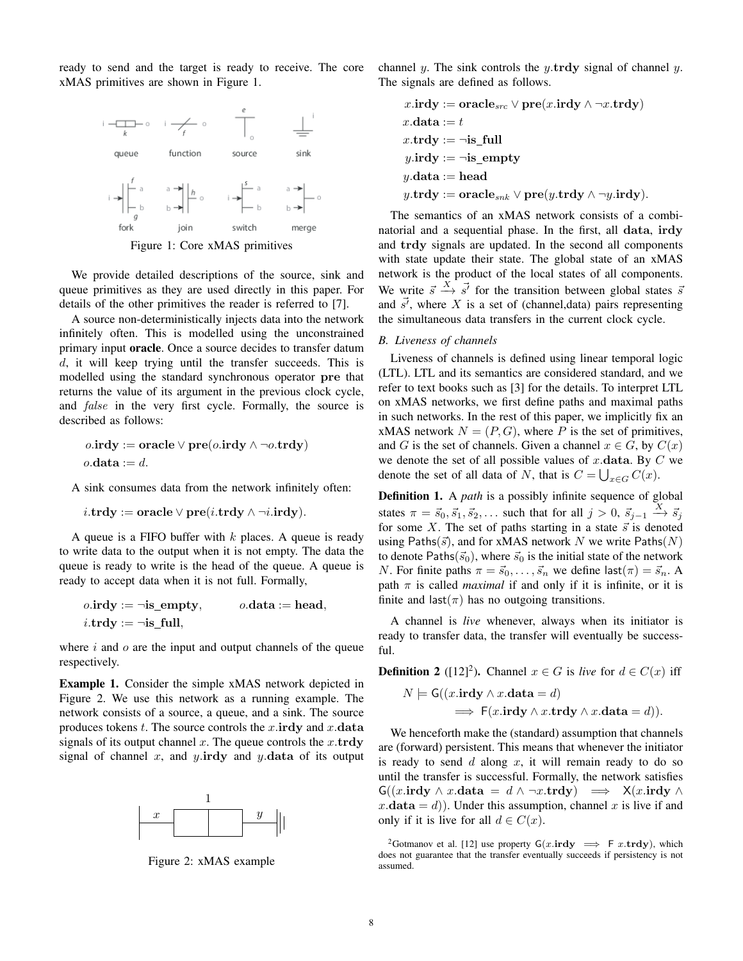<span id="page-1-0"></span>ready to send and the target is ready to receive. The core xMAS primitives are shown in Figure [1.](#page-1-0)



Figure 1: Core xMAS primitives

We provide detailed descriptions of the source, sink and queue primitives as they are used directly in this paper. For details of the other primitives the reader is referred to [\[7\]](#page-8-1).

A source non-deterministically injects data into the network infinitely often. This is modelled using the unconstrained primary input oracle. Once a source decides to transfer datum d, it will keep trying until the transfer succeeds. This is modelled using the standard synchronous operator pre that returns the value of its argument in the previous clock cycle, and *false* in the very first cycle. Formally, the source is described as follows:

$$
o.\mathbf{irdy} := \mathbf{oracle} \lor \mathbf{pre}(o.\mathbf{irdy} \land \neg o.\mathbf{trdy})
$$

$$
o.\mathbf{data} := d.
$$

A sink consumes data from the network infinitely often:

$$
i.\mathbf{trdy} := \mathbf{oracle} \lor \mathbf{pre}(i.\mathbf{trdy} \land \neg i.\mathbf{irdy}).
$$

A queue is a FIFO buffer with  $k$  places. A queue is ready to write data to the output when it is not empty. The data the queue is ready to write is the head of the queue. A queue is ready to accept data when it is not full. Formally,

$$
o.\mathbf{irdy} := \neg \mathbf{is\_empty}, \qquad o.\mathbf{data} := \mathbf{head},
$$
  

$$
i.\mathbf{trdy} := \neg \mathbf{is\_full},
$$

where  $i$  and  $o$  are the input and output channels of the queue respectively.

<span id="page-1-3"></span>Example 1. Consider the simple xMAS network depicted in Figure [2.](#page-1-1) We use this network as a running example. The network consists of a source, a queue, and a sink. The source produces tokens  $t$ . The source controls the  $x$ .irdy and  $x$ .data signals of its output channel x. The queue controls the x.trdy signal of channel  $x$ , and  $y$ . irdy and  $y$ . data of its output

<span id="page-1-1"></span>

Figure 2: xMAS example

channel y. The sink controls the y.trdy signal of channel y. The signals are defined as follows.

$$
\begin{aligned} &x.\mathbf{irdy}:=\mathbf{oracle}_{src} \vee \mathbf{pre}(x.\mathbf{irdy} \wedge \neg x.\mathbf{trdy}) \\ &x.\mathbf{data}:=t \\ &x.\mathbf{trdy}:=\neg \mathbf{is\_full} \\ &y.\mathbf{irdy}:=\neg \mathbf{is\_empty} \\ &y.\mathbf{data}:=\mathbf{head} \\ &y.\mathbf{trdy}:=\mathbf{oracle}_{snk} \vee \mathbf{pre}(y.\mathbf{trdy} \wedge \neg y.\mathbf{irdy}). \end{aligned}
$$

The semantics of an xMAS network consists of a combinatorial and a sequential phase. In the first, all data, irdy and trdy signals are updated. In the second all components with state update their state. The global state of an xMAS network is the product of the local states of all components. We write  $\vec{s} \stackrel{X}{\longrightarrow} \vec{s'}$  for the transition between global states  $\vec{s}$ and  $\vec{s'}$ , where X is a set of (channel,data) pairs representing the simultaneous data transfers in the current clock cycle.

#### *B. Liveness of channels*

Liveness of channels is defined using linear temporal logic (LTL). LTL and its semantics are considered standard, and we refer to text books such as [\[3\]](#page-8-15) for the details. To interpret LTL on xMAS networks, we first define paths and maximal paths in such networks. In the rest of this paper, we implicitly fix an xMAS network  $N = (P, G)$ , where P is the set of primitives, and G is the set of channels. Given a channel  $x \in G$ , by  $C(x)$ we denote the set of all possible values of  $x$ .data. By  $C$  we denote the set of all data of N, that is  $C = \bigcup_{x \in G} C(x)$ .

Definition 1. A *path* is a possibly infinite sequence of global states  $\pi = \vec{s}_0, \vec{s}_1, \vec{s}_2, \ldots$  such that for all  $j > 0$ ,  $\vec{s}_{j-1} \stackrel{X}{\to} \vec{s}_j$ for some X. The set of paths starting in a state  $\vec{s}$  is denoted using Paths( $\vec{s}$ ), and for xMAS network N we write Paths(N) to denote Paths( $\vec{s}_0$ ), where  $\vec{s}_0$  is the initial state of the network *N*. For finite paths  $\pi = \vec{s}_0, \ldots, \vec{s}_n$  we define last $(\pi) = \vec{s}_n$ . A path  $\pi$  is called *maximal* if and only if it is infinite, or it is finite and last $(\pi)$  has no outgoing transitions.

A channel is *live* whenever, always when its initiator is ready to transfer data, the transfer will eventually be successful.

**Definition [2](#page-1-2)** ([\[12\]](#page-8-3)<sup>2</sup>). Channel  $x \in G$  is *live* for  $d \in C(x)$  iff

$$
N \models G((x.\mathbf{irdy} \land x.\mathbf{data} = d) \Rightarrow F(x.\mathbf{irdy} \land x.\mathbf{trdy} \land x.\mathbf{data} = d)).
$$

We henceforth make the (standard) assumption that channels are (forward) persistent. This means that whenever the initiator is ready to send  $d$  along  $x$ , it will remain ready to do so until the transfer is successful. Formally, the network satisfies  $G((x.\mathbf{irdy} \wedge x.\mathbf{data} = d \wedge \neg x.\mathbf{trdy}) \implies \mathsf{X}(x.\mathbf{irdy} \wedge$ x.data = d)). Under this assumption, channel x is live if and only if it is live for all  $d \in C(x)$ .

<span id="page-1-2"></span><sup>&</sup>lt;sup>2</sup>Gotmanov et al. [\[12\]](#page-8-3) use property  $G(x.\text{irdy } \implies$  F  $x.\text{trdy}$ , which does not guarantee that the transfer eventually succeeds if persistency is not assumed.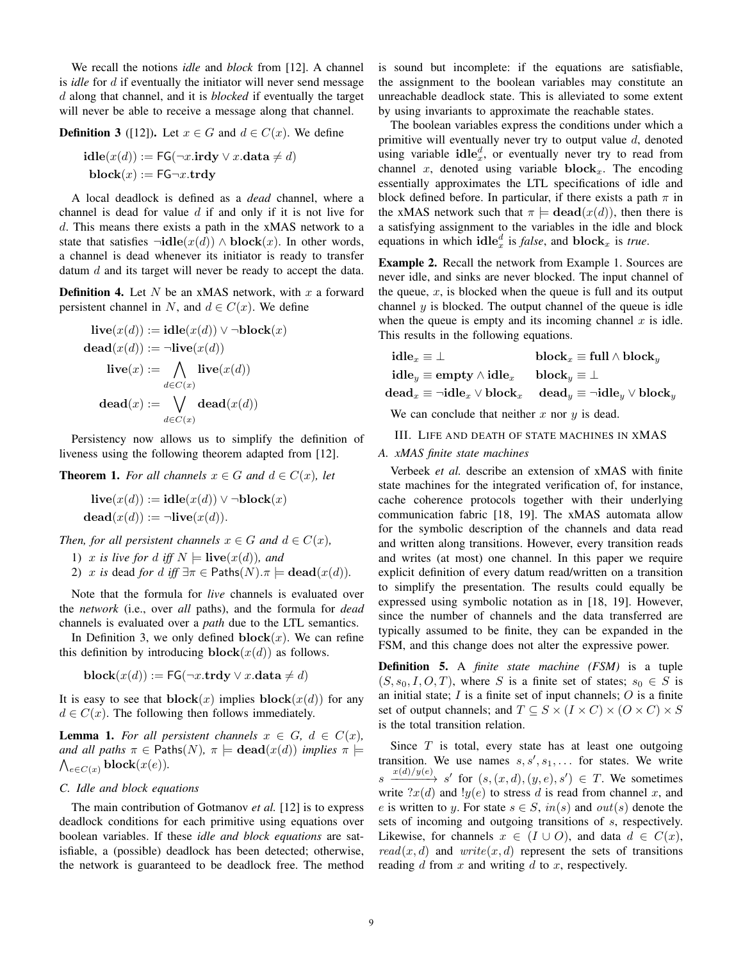We recall the notions *idle* and *block* from [\[12\]](#page-8-3). A channel is *idle* for d if eventually the initiator will never send message d along that channel, and it is *blocked* if eventually the target will never be able to receive a message along that channel.

<span id="page-2-1"></span>**Definition 3** ([\[12\]](#page-8-3)). Let  $x \in G$  and  $d \in C(x)$ . We define

$$
idle(x(d)) := \mathsf{FG}(\neg x.\mathbf{irdy} \lor x.\mathbf{data} \neq d)
$$

$$
\mathbf{block}(x) := \mathsf{FG} \neg x.\mathbf{trdy}
$$

A local deadlock is defined as a *dead* channel, where a channel is dead for value  $d$  if and only if it is not live for d. This means there exists a path in the xMAS network to a state that satisfies  $\neg$ **idle** $(x(d)) \wedge$ **block** $(x)$ . In other words, a channel is dead whenever its initiator is ready to transfer datum  $d$  and its target will never be ready to accept the data.

**Definition 4.** Let  $N$  be an xMAS network, with  $x$  a forward persistent channel in N, and  $d \in C(x)$ . We define

$$
\mathbf{live}(x(d)) := \mathbf{idle}(x(d)) \lor \neg \mathbf{block}(x)
$$
\n
$$
\mathbf{dead}(x(d)) := \neg \mathbf{live}(x(d))
$$
\n
$$
\mathbf{live}(x) := \bigwedge_{d \in C(x)} \mathbf{live}(x(d))
$$
\n
$$
\mathbf{dead}(x) := \bigvee_{d \in C(x)} \mathbf{dead}(x(d))
$$

Persistency now allows us to simplify the definition of liveness using the following theorem adapted from [\[12\]](#page-8-3).

## **Theorem 1.** For all channels  $x \in G$  and  $d \in C(x)$ , let

$$
live(x(d)) := idle(x(d)) \lor \neg block(x)
$$
  
dead $(x(d)) := \neg live(x(d)).$ 

*Then, for all persistent channels*  $x \in G$  *and*  $d \in C(x)$ *,* 

1) x is live for d iff  $N \models \text{live}(x(d))$ , and

2) x *is* dead *for* d *iff*  $\exists \pi \in \text{Paths}(N) \cdot \pi \models \text{dead}(x(d))$ .

Note that the formula for *live* channels is evaluated over the *network* (i.e., over *all* paths), and the formula for *dead* channels is evaluated over a *path* due to the LTL semantics.

In Definition [3,](#page-2-1) we only defined  $block(x)$ . We can refine this definition by introducing  $block(x(d))$  as follows.

$$
\mathbf{block}(x(d)) := \mathsf{FG}(\neg x.\mathbf{trdy} \lor x.\mathbf{data} \neq d)
$$

It is easy to see that  $block(x)$  implies  $block(x(d))$  for any  $d \in C(x)$ . The following then follows immediately.

<span id="page-2-2"></span>**Lemma 1.** For all persistent channels  $x \in G$ ,  $d \in C(x)$ , *and all paths*  $\pi \in$  Paths(N),  $\pi \models$  **dead**(x(d)) *implies*  $\pi \models$  $\bigwedge_{e \in C(x)} \mathbf{block}(x(e)).$ 

### *C. Idle and block equations*

The main contribution of Gotmanov *et al.* [\[12\]](#page-8-3) is to express deadlock conditions for each primitive using equations over boolean variables. If these *idle and block equations* are satisfiable, a (possible) deadlock has been detected; otherwise, the network is guaranteed to be deadlock free. The method is sound but incomplete: if the equations are satisfiable, the assignment to the boolean variables may constitute an unreachable deadlock state. This is alleviated to some extent by using invariants to approximate the reachable states.

The boolean variables express the conditions under which a primitive will eventually never try to output value  $d$ , denoted using variable  $\textbf{idle}_x^d$ , or eventually never try to read from channel x, denoted using variable  $block_x$ . The encoding essentially approximates the LTL specifications of idle and block defined before. In particular, if there exists a path  $\pi$  in the xMAS network such that  $\pi \models \text{dead}(x(d))$ , then there is a satisfying assignment to the variables in the idle and block equations in which  $\textbf{idle}_x^d$  is *false*, and  $\textbf{block}_x$  is *true*.

Example 2. Recall the network from Example [1.](#page-1-3) Sources are never idle, and sinks are never blocked. The input channel of the queue,  $x$ , is blocked when the queue is full and its output channel  $y$  is blocked. The output channel of the queue is idle when the queue is empty and its incoming channel  $x$  is idle. This results in the following equations.

$$
\begin{aligned} \mathbf{idle}_{x} & \equiv \bot & \qquad \mathbf{block}_{x} \equiv \mathbf{full} \land \mathbf{block}_{y} \\ \mathbf{idle}_{y} & \equiv \mathbf{empty} \land \mathbf{idle}_{x} & \qquad \mathbf{block}_{y} \equiv \bot \\ \mathbf{dead}_{x} & \equiv \neg \mathbf{idle}_{x} \lor \mathbf{block}_{x} & \qquad \mathbf{dead}_{y} \equiv \neg \mathbf{idle}_{y} \lor \mathbf{block}_{y} \end{aligned}
$$

We can conclude that neither  $x$  nor  $y$  is dead.

<span id="page-2-0"></span>III. LIFE AND DEATH OF STATE MACHINES IN XMAS

## *A. xMAS finite state machines*

Verbeek *et al.* describe an extension of xMAS with finite state machines for the integrated verification of, for instance, cache coherence protocols together with their underlying communication fabric [\[18,](#page-8-16) [19\]](#page-8-0). The xMAS automata allow for the symbolic description of the channels and data read and written along transitions. However, every transition reads and writes (at most) one channel. In this paper we require explicit definition of every datum read/written on a transition to simplify the presentation. The results could equally be expressed using symbolic notation as in [\[18,](#page-8-16) [19\]](#page-8-0). However, since the number of channels and the data transferred are typically assumed to be finite, they can be expanded in the FSM, and this change does not alter the expressive power.

Definition 5. A *finite state machine (FSM)* is a tuple  $(S, s_0, I, O, T)$ , where S is a finite set of states;  $s_0 \in S$  is an initial state;  $I$  is a finite set of input channels;  $O$  is a finite set of output channels; and  $T \subseteq S \times (I \times C) \times (O \times C) \times S$ is the total transition relation.

Since  $T$  is total, every state has at least one outgoing transition. We use names  $s, s', s_1, \ldots$  for states. We write  $s \xrightarrow{x(d)/y(e)} s'$  for  $(s, (x, d), (y, e), s') \in T$ . We sometimes write  $x(d)$  and  $y(e)$  to stress d is read from channel x, and e is written to y. For state  $s \in S$ ,  $in(s)$  and  $out(s)$  denote the sets of incoming and outgoing transitions of s, respectively. Likewise, for channels  $x \in (I \cup O)$ , and data  $d \in C(x)$ ,  $read(x, d)$  and  $write(x, d)$  represent the sets of transitions reading  $d$  from  $x$  and writing  $d$  to  $x$ , respectively.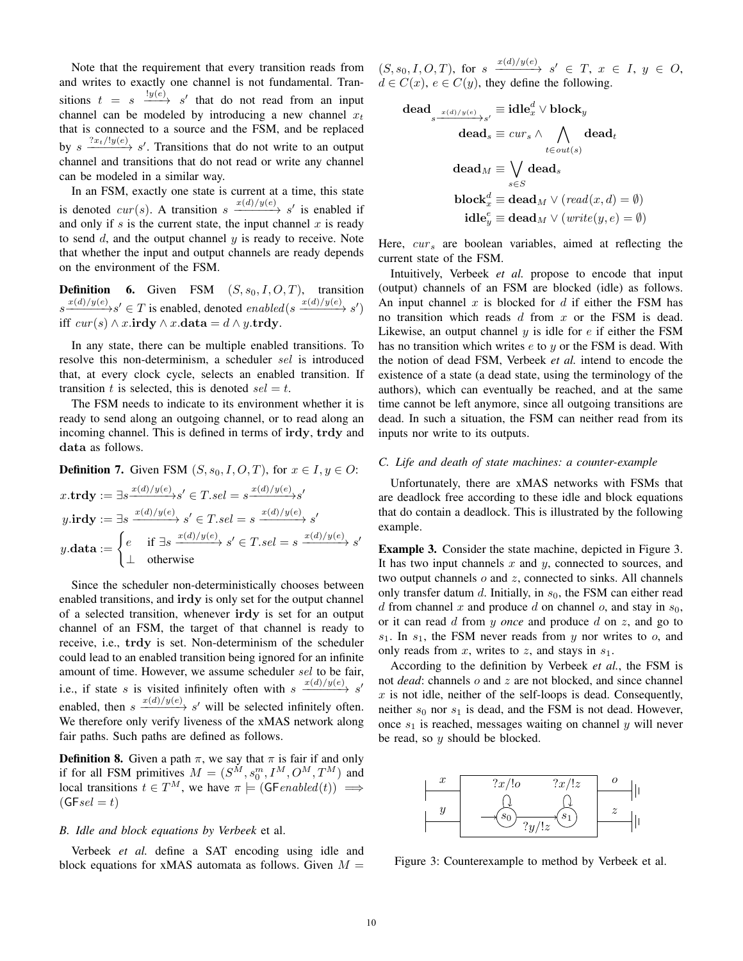Note that the requirement that every transition reads from and writes to exactly one channel is not fundamental. Transitions  $t = s \xrightarrow{!y(e)} s'$  that do not read from an input channel can be modeled by introducing a new channel  $x_t$ that is connected to a source and the FSM, and be replaced by  $s \xrightarrow{?x_t/!y(e)} s'$ . Transitions that do not write to an output channel and transitions that do not read or write any channel can be modeled in a similar way.

In an FSM, exactly one state is current at a time, this state is denoted  $cur(s)$ . A transition  $s \xrightarrow{x(d)/y(e)} s'$  is enabled if and only if s is the current state, the input channel x is ready to send  $d$ , and the output channel  $y$  is ready to receive. Note that whether the input and output channels are ready depends on the environment of the FSM.

<span id="page-3-1"></span>**Definition 6.** Given FSM  $(S, s_0, I, O, T)$ , transition  $s \xrightarrow{x(d)/y(e)} s' \in T$  is enabled, denoted *enabled*( $s \xrightarrow{x(d)/y(e)} s'$ ) iff  $cur(s) \wedge x$ .irdy ∧ x.data =  $d \wedge y$ .trdy.

In any state, there can be multiple enabled transitions. To resolve this non-determinism, a scheduler sel is introduced that, at every clock cycle, selects an enabled transition. If transition t is selected, this is denoted  $sel = t$ .

The FSM needs to indicate to its environment whether it is ready to send along an outgoing channel, or to read along an incoming channel. This is defined in terms of irdy, trdy and data as follows.

**Definition 7.** Given FSM  $(S, s_0, I, O, T)$ , for  $x \in I, y \in O$ :  $x.\mathbf{trdy} := \exists s \frac{x(d)/y(e)}{s} s' \in T.\mathit{sel} = s \frac{x(d)/y(e)}{s'} s'$  $y.\mathbf{irdy} := \exists s \xrightarrow{x(d)/y(e)} s' \in T.\mathit{sel} = s \xrightarrow{x(d)/y(e)} s'$  $y.\textbf{data} := \begin{cases} e & \text{if } \exists s \xrightarrow{x(d)/y(e)} s' \in T.\textit{sel} = s \xrightarrow{x(d)/y(e)} s' \end{cases}$ ⊥ otherwise

Since the scheduler non-deterministically chooses between enabled transitions, and irdy is only set for the output channel of a selected transition, whenever irdy is set for an output channel of an FSM, the target of that channel is ready to receive, i.e., trdy is set. Non-determinism of the scheduler could lead to an enabled transition being ignored for an infinite amount of time. However, we assume scheduler sel to be fair, i.e., if state s is visited infinitely often with  $s \xrightarrow{x(d)/y(e)} s'$ enabled, then  $s \xrightarrow{x(d)/y(e)} s'$  will be selected infinitely often. We therefore only verify liveness of the xMAS network along fair paths. Such paths are defined as follows.

<span id="page-3-2"></span>**Definition 8.** Given a path  $\pi$ , we say that  $\pi$  is fair if and only if for all FSM primitives  $M = (S^M, s_0^m, I^M, O^M, T^M)$  and local transitions  $t \in T^M$ , we have  $\pi \models (\mathsf{G}\mathsf{F}\mathit{enabled}(t)) \Longrightarrow$  $(GFsel = t)$ 

## *B. Idle and block equations by Verbeek* et al.

Verbeek *et al.* define a SAT encoding using idle and block equations for xMAS automata as follows. Given  $M =$ 

 $(S, s_0, I, O, T)$ , for  $s \xrightarrow{x(d)/y(e)} s' \in T$ ,  $x \in I$ ,  $y \in O$ ,  $d \in C(x)$ ,  $e \in C(y)$ , they define the following.

$$
\begin{aligned}\textbf{dead}_s \xrightarrow{x(d)/y(e)} s' &\equiv \textbf{idle}_x^d \vee \textbf{block}_y\\ \textbf{dead}_s &\equiv cur_s \wedge \bigwedge_{t \in out(s)} \textbf{dead}_t\\ \textbf{dead}_M &\equiv \bigvee_{s \in S} \textbf{dead}_s\\ \textbf{block}_x^d &\equiv \textbf{dead}_M \vee (read(x, d) = \emptyset)\\ \textbf{idle}_y^e &\equiv \textbf{dead}_M \vee (write(y, e) = \emptyset)\end{aligned}
$$

Here,  $cur<sub>s</sub>$  are boolean variables, aimed at reflecting the current state of the FSM.

Intuitively, Verbeek *et al.* propose to encode that input (output) channels of an FSM are blocked (idle) as follows. An input channel  $x$  is blocked for  $d$  if either the FSM has no transition which reads  $d$  from  $x$  or the FSM is dead. Likewise, an output channel  $y$  is idle for  $e$  if either the FSM has no transition which writes  $e$  to  $y$  or the FSM is dead. With the notion of dead FSM, Verbeek *et al.* intend to encode the existence of a state (a dead state, using the terminology of the authors), which can eventually be reached, and at the same time cannot be left anymore, since all outgoing transitions are dead. In such a situation, the FSM can neither read from its inputs nor write to its outputs.

## *C. Life and death of state machines: a counter-example*

Unfortunately, there are xMAS networks with FSMs that are deadlock free according to these idle and block equations that do contain a deadlock. This is illustrated by the following example.

<span id="page-3-3"></span>Example 3. Consider the state machine, depicted in Figure [3.](#page-3-0) It has two input channels  $x$  and  $y$ , connected to sources, and two output channels  $o$  and  $z$ , connected to sinks. All channels only transfer datum  $d$ . Initially, in  $s_0$ , the FSM can either read d from channel x and produce d on channel  $o$ , and stay in  $s_0$ , or it can read d from y *once* and produce d on z, and go to  $s_1$ . In  $s_1$ , the FSM never reads from y nor writes to o, and only reads from  $x$ , writes to  $z$ , and stays in  $s_1$ .

According to the definition by Verbeek *et al.*, the FSM is not *dead*: channels o and z are not blocked, and since channel  $x$  is not idle, neither of the self-loops is dead. Consequently, neither  $s_0$  nor  $s_1$  is dead, and the FSM is not dead. However, once  $s_1$  is reached, messages waiting on channel y will never be read, so y should be blocked.

<span id="page-3-0"></span>

Figure 3: Counterexample to method by Verbeek et al.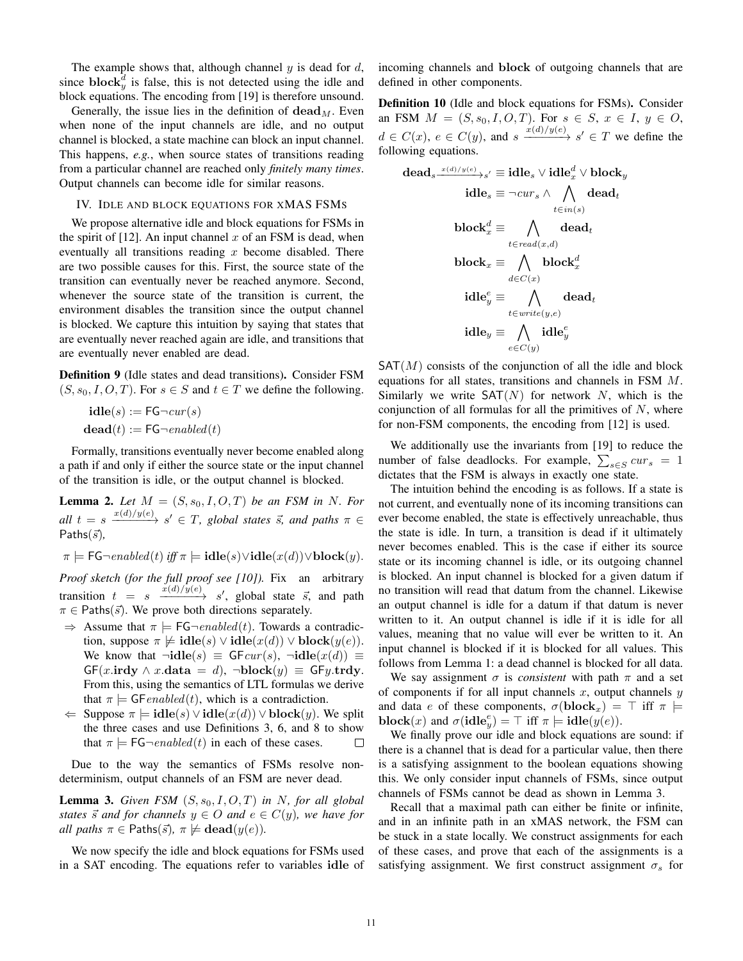The example shows that, although channel  $y$  is dead for  $d$ , since block $\overline{d}$  is false, this is not detected using the idle and block equations. The encoding from [\[19\]](#page-8-0) is therefore unsound.

Generally, the issue lies in the definition of  $\text{dead}_M$ . Even when none of the input channels are idle, and no output channel is blocked, a state machine can block an input channel. This happens, *e.g.*, when source states of transitions reading from a particular channel are reached only *finitely many times*. Output channels can become idle for similar reasons.

## <span id="page-4-0"></span>IV. IDLE AND BLOCK EQUATIONS FOR XMAS FSMS

We propose alternative idle and block equations for FSMs in the spirit of  $[12]$ . An input channel x of an FSM is dead, when eventually all transitions reading  $x$  become disabled. There are two possible causes for this. First, the source state of the transition can eventually never be reached anymore. Second, whenever the source state of the transition is current, the environment disables the transition since the output channel is blocked. We capture this intuition by saying that states that are eventually never reached again are idle, and transitions that are eventually never enabled are dead.

Definition 9 (Idle states and dead transitions). Consider FSM  $(S, s_0, I, O, T)$ . For  $s \in S$  and  $t \in T$  we define the following.

$$
idle(s) := FG\neg cur(s)
$$

$$
dead(t) := FG\negenabled(t)
$$

Formally, transitions eventually never become enabled along a path if and only if either the source state or the input channel of the transition is idle, or the output channel is blocked.

**Lemma 2.** Let  $M = (S, s_0, I, O, T)$  be an FSM in N. For  $all \t= s \xrightarrow{x(d)/y(e)} s' \in T$ , global states  $\vec{s}$ , and paths  $\pi \in$ Paths $(\vec{s})$ ,

$$
\pi \models \mathsf{FG}\neg\mathit{enabled}(t) \mathit{iff} \pi \models \mathbf{idle}(s) \lor \mathbf{idle}(x(d)) \lor \mathbf{block}(y).
$$

*Proof sketch (for the full proof see [\[10\]](#page-8-17)).* Fix an arbitrary transition  $t = s \xrightarrow{x(d)/y(e)} s'$ , global state  $\vec{s}$ , and path  $\pi \in$  Paths( $\vec{s}$ ). We prove both directions separately.

- $\Rightarrow$  Assume that  $\pi \models FG \neg enabled(t)$ . Towards a contradiction, suppose  $\pi \not\models \textbf{idle}(s) \vee \textbf{idle}(x(d)) \vee \textbf{block}(y(e)).$ We know that  $\neg$ **idle** $(s) \equiv$  GFcur $(s)$ ,  $\neg$ **idle** $(x(d)) \equiv$  $GF(x.\text{irdy} \wedge x.\text{data} = d), \neg \text{block}(y) \equiv GFy.\text{trdy}.$ From this, using the semantics of LTL formulas we derive that  $\pi \models$  GF *enabled*(*t*), which is a contradiction.
- $\Leftarrow$  Suppose  $\pi$   $\models$  **idle**(s)  $\vee$  **idle**(x(d))  $\vee$  **block**(y). We split the three cases and use Definitions [3,](#page-2-1) [6,](#page-3-1) and [8](#page-3-2) to show that  $\pi \models FG \neg enabled(t)$  in each of these cases.  $\Box$

Due to the way the semantics of FSMs resolve nondeterminism, output channels of an FSM are never dead.

<span id="page-4-1"></span>**Lemma 3.** Given FSM  $(S, s_0, I, O, T)$  in N, for all global *states*  $\vec{s}$  *and for channels*  $y \in O$  *and*  $e \in C(y)$ *, we have for all paths*  $\pi \in$  Paths( $\vec{s}$ ),  $\pi \not\models$  dead( $y(e)$ ).

We now specify the idle and block equations for FSMs used in a SAT encoding. The equations refer to variables idle of incoming channels and block of outgoing channels that are defined in other components.

Definition 10 (Idle and block equations for FSMs). Consider an FSM  $M = (S, s_0, I, O, T)$ . For  $s \in S$ ,  $x \in I$ ,  $y \in O$ ,  $d \in C(x)$ ,  $e \in C(y)$ , and  $s \xrightarrow{x(d)/y(e)} s' \in T$  we define the following equations.

$$
\text{dead}_s \frac{x(d)/y(e)}{s} s' \equiv \text{idle}_s \lor \text{idle}_x^d \lor \text{block}_y
$$
\n
$$
\text{idle}_s \equiv \neg cur_s \land \bigwedge_{t \in in(s)} \text{dead}_t
$$
\n
$$
\text{block}_x^d \equiv \bigwedge_{t \in read(x,d)} \text{dead}_t
$$
\n
$$
\text{block}_x \equiv \bigwedge_{d \in C(x)} \text{block}_x^d
$$
\n
$$
\text{idle}_y^e \equiv \bigwedge_{t \in write(y,e)} \text{dead}_t
$$
\n
$$
\text{idle}_y^e \equiv \bigwedge_{e \in C(y)} \text{idle}_y^e
$$

 $\mathsf{SAT}(M)$  consists of the conjunction of all the idle and block equations for all states, transitions and channels in FSM M. Similarly we write  $SAT(N)$  for network N, which is the conjunction of all formulas for all the primitives of  $N$ , where for non-FSM components, the encoding from [\[12\]](#page-8-3) is used.

We additionally use the invariants from [\[19\]](#page-8-0) to reduce the number of false deadlocks. For example,  $\sum_{s \in S} c u r_s = 1$ dictates that the FSM is always in exactly one state.

The intuition behind the encoding is as follows. If a state is not current, and eventually none of its incoming transitions can ever become enabled, the state is effectively unreachable, thus the state is idle. In turn, a transition is dead if it ultimately never becomes enabled. This is the case if either its source state or its incoming channel is idle, or its outgoing channel is blocked. An input channel is blocked for a given datum if no transition will read that datum from the channel. Likewise an output channel is idle for a datum if that datum is never written to it. An output channel is idle if it is idle for all values, meaning that no value will ever be written to it. An input channel is blocked if it is blocked for all values. This follows from Lemma [1:](#page-2-2) a dead channel is blocked for all data.

We say assignment  $\sigma$  is *consistent* with path  $\pi$  and a set of components if for all input channels  $x$ , output channels  $y$ and data e of these components,  $\sigma(\textbf{block}_x) = \top$  iff  $\pi \models$ **block** $(x)$  and  $\sigma(\textbf{idle}_y^e) = \top$  iff  $\pi \models \textbf{idle}(y(e)).$ 

We finally prove our idle and block equations are sound: if there is a channel that is dead for a particular value, then there is a satisfying assignment to the boolean equations showing this. We only consider input channels of FSMs, since output channels of FSMs cannot be dead as shown in Lemma [3.](#page-4-1)

Recall that a maximal path can either be finite or infinite, and in an infinite path in an xMAS network, the FSM can be stuck in a state locally. We construct assignments for each of these cases, and prove that each of the assignments is a satisfying assignment. We first construct assignment  $\sigma_s$  for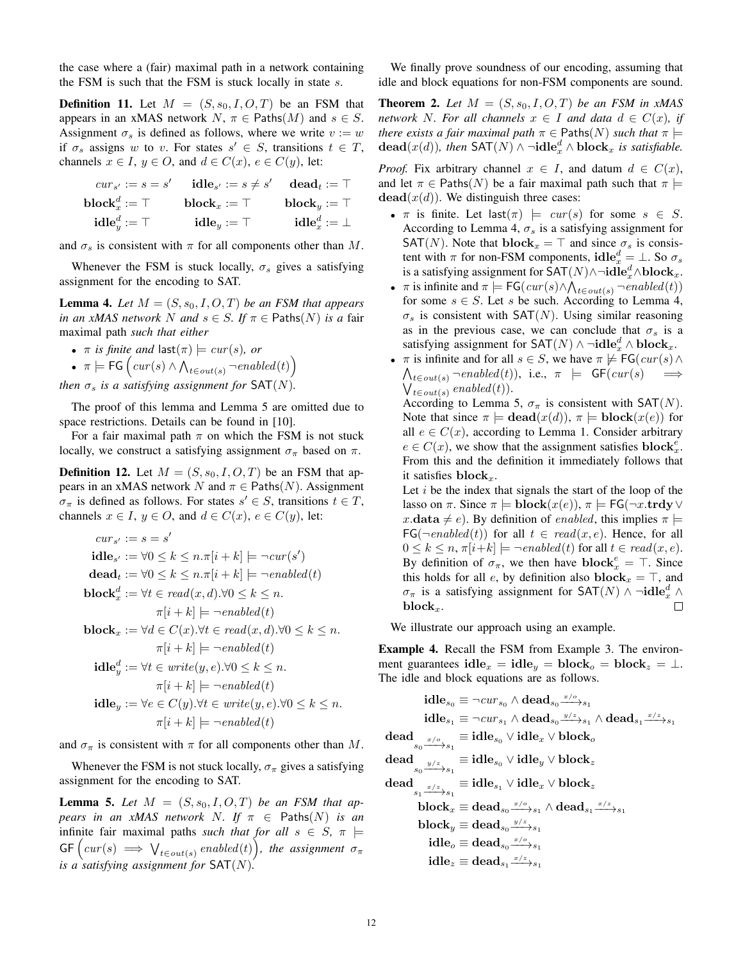the case where a (fair) maximal path in a network containing the FSM is such that the FSM is stuck locally in state s.

**Definition 11.** Let  $M = (S, s_0, I, O, T)$  be an FSM that appears in an xMAS network  $N, \pi \in \text{Paths}(M)$  and  $s \in S$ . Assignment  $\sigma_s$  is defined as follows, where we write  $v := w$ if  $\sigma_s$  assigns w to v. For states  $s' \in S$ , transitions  $t \in T$ , channels  $x \in I$ ,  $y \in O$ , and  $d \in C(x)$ ,  $e \in C(y)$ , let:

$$
\begin{aligned}\n &cur_{s'} := s = s' & &\text{idle}_{s'} := s \neq s' & &\text{dead}_t := \top \\
 &\text{block}_{x}^d := \top & &\text{block}_{x} := \top & &\text{block}_{y} := \top \\
 &\text{idle}_{y}^d := \top & &\text{idle}_{y} := \top & &\text{idle}_{x}^d := \bot\n \end{aligned}
$$

and  $\sigma_s$  is consistent with  $\pi$  for all components other than M.

Whenever the FSM is stuck locally,  $\sigma_s$  gives a satisfying assignment for the encoding to SAT.

<span id="page-5-1"></span>**Lemma 4.** Let  $M = (S, s_0, I, O, T)$  be an FSM that appears *in an xMAS network* N *and*  $s \in S$ . If  $\pi \in$  Paths(N) *is a* fair maximal path *such that either*

- $\pi$  *is finite and* last $(\pi)$   $=$   $cur(s)$ *, or*
- $\pi \models \mathsf{FG} \left( \textit{cur}(s) \land \bigwedge_{t \in \textit{out}(s)} \neg \textit{enabled}(t) \right)$

*then*  $\sigma_s$  *is a satisfying assignment for*  $SAT(N)$ *.* 

The proof of this lemma and Lemma [5](#page-5-0) are omitted due to space restrictions. Details can be found in [\[10\]](#page-8-17).

For a fair maximal path  $\pi$  on which the FSM is not stuck locally, we construct a satisfying assignment  $\sigma_{\pi}$  based on  $\pi$ .

**Definition 12.** Let  $M = (S, s_0, I, O, T)$  be an FSM that appears in an xMAS network N and  $\pi \in$  Paths(N). Assignment  $\sigma_{\pi}$  is defined as follows. For states  $s' \in S$ , transitions  $t \in T$ , channels  $x \in I$ ,  $y \in O$ , and  $d \in C(x)$ ,  $e \in C(y)$ , let:

$$
cur_{s'} := s = s'
$$
  
\n
$$
idle_{s'} := \forall 0 \le k \le n. \pi[i+k] \models \neg cur(s')
$$
  
\n
$$
dead_t := \forall 0 \le k \le n. \pi[i+k] \models \neg enabled(t)
$$
  
\n
$$
block_{x}^{d} := \forall t \in read(x,d). \forall 0 \le k \le n.
$$
  
\n
$$
\pi[i+k] \models \neg enabled(t)
$$
  
\n
$$
block_{x} := \forall d \in C(x). \forall t \in read(x,d). \forall 0 \le k \le n.
$$
  
\n
$$
\pi[i+k] \models \neg enabled(t)
$$
  
\n
$$
idle_{y}^{d} := \forall t \in write(y,e). \forall 0 \le k \le n.
$$
  
\n
$$
\pi[i+k] \models \neg enabled(t)
$$
  
\n
$$
idle_{y} := \forall e \in C(y). \forall t \in write(y,e). \forall 0 \le k \le n.
$$
  
\n
$$
\pi[i+k] \models \neg enabled(t)
$$

and  $\sigma_{\pi}$  is consistent with  $\pi$  for all components other than M.

Whenever the FSM is not stuck locally,  $\sigma_{\pi}$  gives a satisfying assignment for the encoding to SAT.

<span id="page-5-0"></span>**Lemma 5.** Let  $M = (S, s_0, I, O, T)$  be an FSM that ap*pears in an xMAS network* N. If  $\pi \in$  Paths(N) *is an* infinite fair maximal paths *such that for all*  $s \in S$ ,  $\pi$   $\models$  ${\sf GF} \left(\mathit{cur}(s) \implies \bigvee_{t \in \mathit{out}(s)} \mathit{enabeled}(t) \right)$ , the assignment  $\sigma_\pi$ *is a satisfying assignment for* SAT(N)*.*

We finally prove soundness of our encoding, assuming that idle and block equations for non-FSM components are sound.

**Theorem 2.** Let  $M = (S, s_0, I, O, T)$  be an FSM in xMAS *network* N. For all channels  $x \in I$  and data  $d \in C(x)$ , if *there exists a fair maximal path*  $\pi \in$  Paths(N) *such that*  $\pi$   $\models$  $\mathbf{dead}(x(d))$ , then  $\mathsf{SAT}(N) \wedge \neg \mathbf{idle}_x^d \wedge \mathbf{block}_x$  is satisfiable.

*Proof.* Fix arbitrary channel  $x \in I$ , and datum  $d \in C(x)$ , and let  $\pi \in$  Paths(N) be a fair maximal path such that  $\pi$   $\models$  $\textbf{dead}(x(d))$ . We distinguish three cases:

- $\pi$  is finite. Let last $(\pi)$   $\models$   $cur(s)$  for some  $s \in S$ . According to Lemma [4,](#page-5-1)  $\sigma_s$  is a satisfying assignment for SAT(N). Note that  $block_x = \top$  and since  $\sigma_s$  is consistent with  $\pi$  for non-FSM components,  $\mathbf{idle}^d_x = \bot$ . So  $\sigma_s$ is a satisfying assignment for SAT(N)∧¬ $\mathbf{i}\mathbf{d}\overline{\mathbf{l}}$ e $_{x}^{d}$ ∧ $\mathbf{block}_{x}.$
- $\pi$  is infinite and  $\pi \models FG(cur(s) \land \bigwedge_{t \in out(s)} \neg enabled(t))$ for some  $s \in S$ . Let s be such. According to Lemma [4,](#page-5-1)  $\sigma_s$  is consistent with SAT(N). Using similar reasoning as in the previous case, we can conclude that  $\sigma_s$  is a satisfying assignment for SAT(N)  $\wedge \neg \textbf{idle}_x^d \wedge \textbf{block}_x$ .
- $\pi$  is infinite and for all  $s \in S$ , we have  $\pi \not\models \mathsf{FG}(cur(s) \land \pi)$  $\bigwedge_{t \in out(s)} \neg enabled(t)$ , i.e.,  $\pi \models GF(cur(s) \implies \bigvee_{t \in out(s)} enabled(t))$ .  $_{t \in out(s)}$  enabled(t)).

According to Lemma [5,](#page-5-0)  $\sigma_{\pi}$  is consistent with SAT(N). Note that since  $\pi \models \text{dead}(x(d)), \pi \models \text{block}(x(e))$  for all  $e \in C(x)$ , according to Lemma [1.](#page-2-2) Consider arbitrary  $e \in C(x)$ , we show that the assignment satisfies **block**<sup>*e*</sup><sub>*x*</sub>. From this and the definition it immediately follows that it satisfies  $block_{x}$ .

Let  $i$  be the index that signals the start of the loop of the lasso on  $\pi$ . Since  $\pi \models \textbf{block}(x(e)), \pi \models \textbf{FG}(\neg x.\textbf{trdy} \vee \theta)$ x.data  $\neq e$ ). By definition of *enabled*, this implies  $\pi$   $\models$  $FG(\neg enabled(t))$  for all  $t \in read(x, e)$ . Hence, for all  $0 \leq k \leq n$ ,  $\pi[i+k] \models \neg \text{enabled}(t)$  for all  $t \in \text{read}(x, e)$ . By definition of  $\sigma_{\pi}$ , we then have **block**<sup>e</sup> =  $\top$ . Since this holds for all e, by definition also block<sub>x</sub> =  $\top$ , and  $\sigma_{\pi}$  is a satisfying assignment for SAT(N) ∧ ¬idle $_{x}^{d}$  ∧  $block_{x}$ .

We illustrate our approach using an example.

Example 4. Recall the FSM from Example [3.](#page-3-3) The environment guarantees  $\text{idle}_x = \text{idle}_y = \text{block}_o = \text{block}_z = \perp$ . The idle and block equations are as follows.

$$
\begin{aligned}\n\textbf{idle}_{s_0} &\equiv \neg cur_{s_0} \wedge \textbf{dead}_{s_0} \frac{x/\phi}{x/s_1} \\
\textbf{idle}_{s_1} &\equiv \neg cur_{s_1} \wedge \textbf{dead}_{s_0} \frac{y/z}{x/s_1} \wedge \textbf{dead}_{s_1} \frac{x/z}{x} s_1 \\
\textbf{dead}_{s_0} \frac{x/\phi}{x/s_1} &\equiv \textbf{idle}_{s_0} \vee \textbf{idle}_{x} \vee \textbf{block}_{\phi} \\
\textbf{dead}_{s_0} \frac{y/z}{x/s_1} &\equiv \textbf{idle}_{s_0} \vee \textbf{idle}_{y} \vee \textbf{block}_{z} \\
\textbf{dead}_{s_1} \frac{x/z}{x/s_1} &\equiv \textbf{idle}_{s_1} \vee \textbf{idle}_{x} \vee \textbf{block}_{z} \\
\textbf{block}_{x} &\equiv \textbf{dead}_{s_0} \frac{x/\phi}{x/s_1} \wedge \textbf{dead}_{s_1} \frac{x/z}{x/s_1} \\
\textbf{block}_{y} &\equiv \textbf{dead}_{s_0} \frac{y/z}{x/s_1} \\
\textbf{idle}_{\phi} &\equiv \textbf{dead}_{s_0} \frac{x/\phi}{x/s_1} \\
\textbf{idle}_{z} &\equiv \textbf{dead}_{s_1} \frac{x/z}{x/s_1}\n\end{aligned}
$$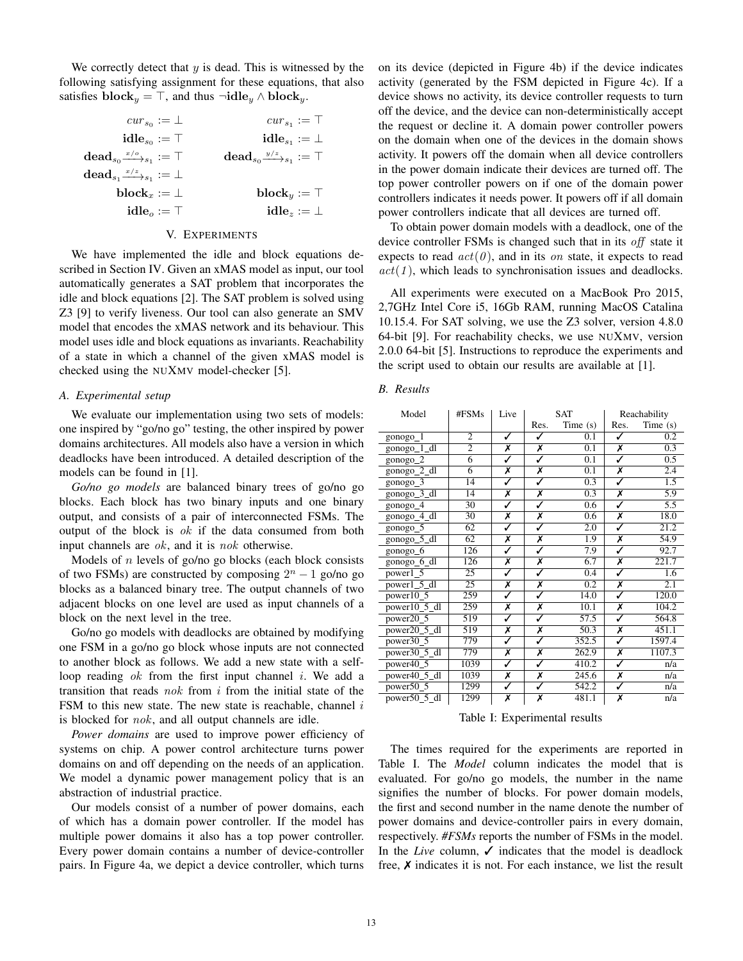We correctly detect that  $y$  is dead. This is witnessed by the following satisfying assignment for these equations, that also satisfies block<sub>y</sub> =  $\top$ , and thus  $\neg \textbf{idle}_y \wedge \textbf{block}_y$ .

$$
\begin{aligned}\n &\textit{cur}_{s_0} := \bot & &\textit{cur}_{s_1} := \top \\
 &\text{idle}_{s_0} := \top & &\text{idle}_{s_1} := \bot \\
 &\text{dead}_{s_0 \xrightarrow{x/c}}{}_{s_1} := \top & &\text{dead}_{s_0 \xrightarrow{y/z}}{}_{s_1} := \top \\
 &\text{dead}_{s_1 \xrightarrow{x/z}}{}_{s_1} := \bot & &\text{block}_{s'} := \top \\
 &\text{idle}_{o} := \top & &\text{idle}_{z} := \bot\n \end{aligned}
$$

## V. EXPERIMENTS

<span id="page-6-0"></span>We have implemented the idle and block equations described in Section [IV.](#page-4-0) Given an xMAS model as input, our tool automatically generates a SAT problem that incorporates the idle and block equations [\[2\]](#page-8-13). The SAT problem is solved using Z3 [\[9\]](#page-8-18) to verify liveness. Our tool can also generate an SMV model that encodes the xMAS network and its behaviour. This model uses idle and block equations as invariants. Reachability of a state in which a channel of the given xMAS model is checked using the NUXMV model-checker [\[5\]](#page-8-19).

#### *A. Experimental setup*

We evaluate our implementation using two sets of models: one inspired by "go/no go" testing, the other inspired by power domains architectures. All models also have a version in which deadlocks have been introduced. A detailed description of the models can be found in [\[1\]](#page-8-20).

*Go/no go models* are balanced binary trees of go/no go blocks. Each block has two binary inputs and one binary output, and consists of a pair of interconnected FSMs. The output of the block is  $ok$  if the data consumed from both input channels are ok, and it is nok otherwise.

Models of  $n$  levels of go/no go blocks (each block consists of two FSMs) are constructed by composing  $2<sup>n</sup> - 1$  go/no go blocks as a balanced binary tree. The output channels of two adjacent blocks on one level are used as input channels of a block on the next level in the tree.

Go/no go models with deadlocks are obtained by modifying one FSM in a go/no go block whose inputs are not connected to another block as follows. We add a new state with a selfloop reading  $ok$  from the first input channel i. We add a transition that reads nok from  $i$  from the initial state of the FSM to this new state. The new state is reachable, channel  $i$ is blocked for nok, and all output channels are idle.

*Power domains* are used to improve power efficiency of systems on chip. A power control architecture turns power domains on and off depending on the needs of an application. We model a dynamic power management policy that is an abstraction of industrial practice.

Our models consist of a number of power domains, each of which has a domain power controller. If the model has multiple power domains it also has a top power controller. Every power domain contains a number of device-controller pairs. In Figure [4a,](#page-7-0) we depict a device controller, which turns on its device (depicted in Figure [4b\)](#page-7-0) if the device indicates activity (generated by the FSM depicted in Figure [4c\)](#page-7-0). If a device shows no activity, its device controller requests to turn off the device, and the device can non-deterministically accept the request or decline it. A domain power controller powers on the domain when one of the devices in the domain shows activity. It powers off the domain when all device controllers in the power domain indicate their devices are turned off. The top power controller powers on if one of the domain power controllers indicates it needs power. It powers off if all domain power controllers indicate that all devices are turned off.

To obtain power domain models with a deadlock, one of the device controller FSMs is changed such that in its off state it expects to read  $act(\theta)$ , and in its on state, it expects to read  $act(1)$ , which leads to synchronisation issues and deadlocks.

All experiments were executed on a MacBook Pro 2015, 2,7GHz Intel Core i5, 16Gb RAM, running MacOS Catalina 10.15.4. For SAT solving, we use the Z3 solver, version 4.8.0 64-bit [\[9\]](#page-8-18). For reachability checks, we use NUXMV, version 2.0.0 64-bit [\[5\]](#page-8-19). Instructions to reproduce the experiments and the script used to obtain our results are available at [\[1\]](#page-8-20).

## *B. Results*

<span id="page-6-1"></span>

| Model                    | #FSMs          | Live                    | <b>SAT</b>              |                   | Reachability            |                  |
|--------------------------|----------------|-------------------------|-------------------------|-------------------|-------------------------|------------------|
|                          |                |                         | Res.                    | Time $(s)$        | Res.                    | Time $(s)$       |
| gonogo_1                 | $\overline{c}$ | ✓                       | ✓                       | 0.1               | ✓                       | 0.2              |
| gonogo_1_dl              | $\overline{2}$ | Х                       | Х                       | 0.1               | Х                       | 0.3              |
| gonogo_2                 | 6              | J                       | ✓                       | 0.1               | J                       | 0.5              |
| gonogo_2_dl              | 6              | Х                       | Х                       | 0.1               | Х                       | 2.4              |
| $\text{gonogo}_3$        | 14             | J                       | ✓                       | 0.3               | J                       | 1.5              |
| gonogo_3_dl              | 14             | Х                       | Х                       | 0.3               | Х                       | $\overline{5.9}$ |
| gonogo_4                 | 30             | ✓                       | ✓                       | 0.6               | J                       | 5.5              |
| gonogo_4_dl              | 30             | Х                       | Х                       | 0.6               | Х                       | 18.0             |
| gonogo_5                 | 62             | ✓                       | ✓                       | 2.0               | J                       | 21.2             |
| gonogo_5_dl              | 62             | Х                       | Х                       | 1.9               | Х                       | 54.9             |
| gonogo_6                 | 126            | ✓                       | ✓                       | 7.9               | J                       | 92.7             |
| gonogo_6_dl              | 126            | X                       | X                       | 6.7               | X                       | 221.7            |
| $power1_5$               | 25             | ✓                       | ✓                       | 0.4               | ✓                       | 1.6              |
| power $1\overline{5}$ dl | 25             | Х                       | Х                       | 0.2               | Х                       | $\overline{2.1}$ |
| power $10\,5$            | 259            | ✓                       | ✓                       | 14.0              | ✓                       | 120.0            |
| power10 5 dl             | 259            | X                       | $\overline{\mathsf{x}}$ | 10.1              | X                       | 104.2            |
| power20 5                | 519            | J                       | ✓                       | $\overline{57.5}$ | J                       | 564.8            |
| power20 5 dl             | 519            | Х                       | Х                       | 50.3              | Х                       | 451.1            |
| power $30\overline{5}$   | 779            | ✓                       | J                       | 352.5             | J                       | 1597.4           |
| power $30\,$ 5 dl        | 779            | Х                       | Х                       | 262.9             | Х                       | 1107.3           |
| power $40\,5$            | 1039           | ✓                       | ✓                       | 410.2             | ✓                       | n/a              |
| power40 $5$ _dl          | 1039           | Х                       | $\overline{\mathsf{x}}$ | 245.6             | Х                       | n/a              |
| power50_5                | 1299           | J                       | J                       | 542.2             | ✓                       | n/a              |
| $power50_5_d$            | 1299           | $\overline{\mathsf{x}}$ | $\overline{\mathsf{x}}$ | 481.1             | $\overline{\mathsf{x}}$ | n/a              |

Table I: Experimental results

The times required for the experiments are reported in Table [I.](#page-6-1) The *Model* column indicates the model that is evaluated. For go/no go models, the number in the name signifies the number of blocks. For power domain models, the first and second number in the name denote the number of power domains and device-controller pairs in every domain, respectively. *#FSMs* reports the number of FSMs in the model. In the *Live* column, ✓ indicates that the model is deadlock free, ✗ indicates it is not. For each instance, we list the result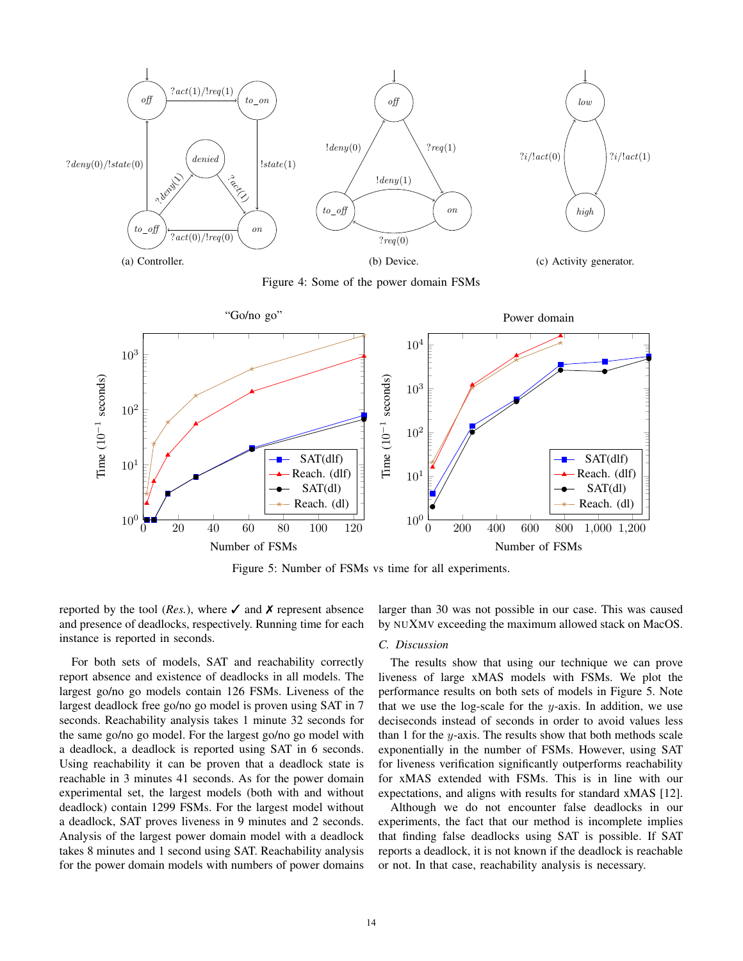<span id="page-7-0"></span>

Figure 4: Some of the power domain FSMs

<span id="page-7-1"></span>

Figure 5: Number of FSMs vs time for all experiments.

reported by the tool (*Res.*), where  $\checkmark$  and  $\checkmark$  represent absence and presence of deadlocks, respectively. Running time for each instance is reported in seconds.

For both sets of models, SAT and reachability correctly report absence and existence of deadlocks in all models. The largest go/no go models contain 126 FSMs. Liveness of the largest deadlock free go/no go model is proven using SAT in 7 seconds. Reachability analysis takes 1 minute 32 seconds for the same go/no go model. For the largest go/no go model with a deadlock, a deadlock is reported using SAT in 6 seconds. Using reachability it can be proven that a deadlock state is reachable in 3 minutes 41 seconds. As for the power domain experimental set, the largest models (both with and without deadlock) contain 1299 FSMs. For the largest model without a deadlock, SAT proves liveness in 9 minutes and 2 seconds. Analysis of the largest power domain model with a deadlock takes 8 minutes and 1 second using SAT. Reachability analysis for the power domain models with numbers of power domains

larger than 30 was not possible in our case. This was caused by NUXMV exceeding the maximum allowed stack on MacOS.

#### *C. Discussion*

The results show that using our technique we can prove liveness of large xMAS models with FSMs. We plot the performance results on both sets of models in Figure [5.](#page-7-1) Note that we use the log-scale for the  $y$ -axis. In addition, we use deciseconds instead of seconds in order to avoid values less than 1 for the  $y$ -axis. The results show that both methods scale exponentially in the number of FSMs. However, using SAT for liveness verification significantly outperforms reachability for xMAS extended with FSMs. This is in line with our expectations, and aligns with results for standard xMAS [\[12\]](#page-8-3).

Although we do not encounter false deadlocks in our experiments, the fact that our method is incomplete implies that finding false deadlocks using SAT is possible. If SAT reports a deadlock, it is not known if the deadlock is reachable or not. In that case, reachability analysis is necessary.